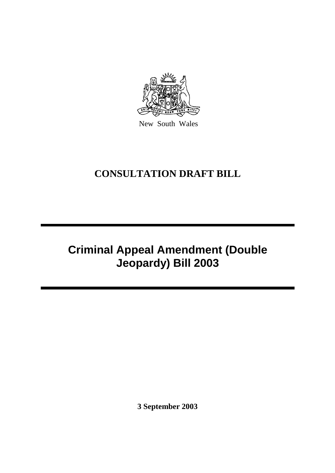

New South Wales

# **CONSULTATION DRAFT BILL**

# **Criminal Appeal Amendment (Double Jeopardy) Bill 2003**

**3 September 2003**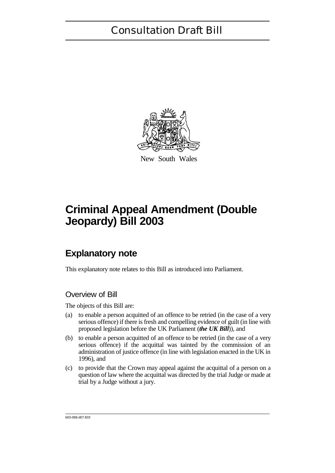

New South Wales

# **Criminal Appeal Amendment (Double Jeopardy) Bill 2003**

### **Explanatory note**

This explanatory note relates to this Bill as introduced into Parliament.

### Overview of Bill

The objects of this Bill are:

- (a) to enable a person acquitted of an offence to be retried (in the case of a very serious offence) if there is fresh and compelling evidence of guilt (in line with proposed legislation before the UK Parliament (*the UK Bill*)), and
- (b) to enable a person acquitted of an offence to be retried (in the case of a very serious offence) if the acquittal was tainted by the commission of an administration of justice offence (in line with legislation enacted in the UK in 1996), and
- (c) to provide that the Crown may appeal against the acquittal of a person on a question of law where the acquittal was directed by the trial Judge or made at trial by a Judge without a jury.

b03-068-d07.833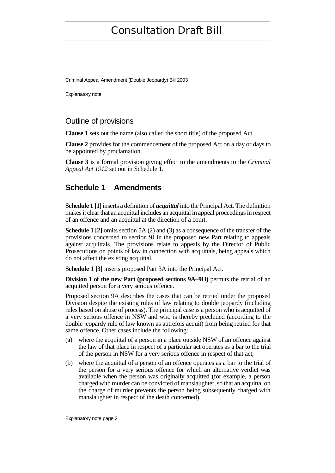Criminal Appeal Amendment (Double Jeopardy) Bill 2003

Explanatory note

### Outline of provisions

**Clause 1** sets out the name (also called the short title) of the proposed Act.

**Clause 2** provides for the commencement of the proposed Act on a day or days to be appointed by proclamation.

**Clause 3** is a formal provision giving effect to the amendments to the *Criminal Appeal Act 1912* set out in Schedule 1.

### **Schedule 1 Amendments**

**Schedule 1 [1]**inserts a definition of *acquittal* into the Principal Act. The definition makes it clear that an acquittal includes an acquittal in appeal proceedings in respect of an offence and an acquittal at the direction of a court.

**Schedule 1 [2]** omits section 5A (2) and (3) as a consequence of the transfer of the provisions concerned to section 9J in the proposed new Part relating to appeals against acquittals. The provisions relate to appeals by the Director of Public Prosecutions on points of law in connection with acquittals, being appeals which do not affect the existing acquittal.

**Schedule 1 [3]** inserts proposed Part 3A into the Principal Act.

**Division 1 of the new Part (proposed sections 9A–9H)** permits the retrial of an acquitted person for a very serious offence.

Proposed section 9A describes the cases that can be retried under the proposed Division despite the existing rules of law relating to double jeopardy (including rules based on abuse of process). The principal case is a person who is acquitted of a very serious offence in NSW and who is thereby precluded (according to the double jeopardy rule of law known as autrefois acquit) from being retried for that same offence. Other cases include the following:

- (a) where the acquittal of a person in a place outside NSW of an offence against the law of that place in respect of a particular act operates as a bar to the trial of the person in NSW for a very serious offence in respect of that act,
- (b) where the acquittal of a person of an offence operates as a bar to the trial of the person for a very serious offence for which an alternative verdict was available when the person was originally acquitted (for example, a person charged with murder can be convicted of manslaughter, so that an acquittal on the charge of murder prevents the person being subsequently charged with manslaughter in respect of the death concerned),

Explanatory note page 2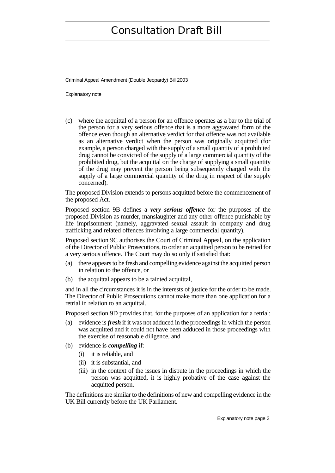Criminal Appeal Amendment (Double Jeopardy) Bill 2003

Explanatory note

(c) where the acquittal of a person for an offence operates as a bar to the trial of the person for a very serious offence that is a more aggravated form of the offence even though an alternative verdict for that offence was not available as an alternative verdict when the person was originally acquitted (for example, a person charged with the supply of a small quantity of a prohibited drug cannot be convicted of the supply of a large commercial quantity of the prohibited drug, but the acquittal on the charge of supplying a small quantity of the drug may prevent the person being subsequently charged with the supply of a large commercial quantity of the drug in respect of the supply concerned).

The proposed Division extends to persons acquitted before the commencement of the proposed Act.

Proposed section 9B defines a *very serious offence* for the purposes of the proposed Division as murder, manslaughter and any other offence punishable by life imprisonment (namely, aggravated sexual assault in company and drug trafficking and related offences involving a large commercial quantity).

Proposed section 9C authorises the Court of Criminal Appeal, on the application of the Director of Public Prosecutions, to order an acquitted person to be retried for a very serious offence. The Court may do so only if satisfied that:

- (a) there appears to be fresh and compelling evidence against the acquitted person in relation to the offence, or
- (b) the acquittal appears to be a tainted acquittal,

and in all the circumstances it is in the interests of justice for the order to be made. The Director of Public Prosecutions cannot make more than one application for a retrial in relation to an acquittal.

Proposed section 9D provides that, for the purposes of an application for a retrial:

- (a) evidence is *fresh* if it was not adduced in the proceedings in which the person was acquitted and it could not have been adduced in those proceedings with the exercise of reasonable diligence, and
- (b) evidence is *compelling* if:
	- (i) it is reliable, and
	- (ii) it is substantial, and
	- (iii) in the context of the issues in dispute in the proceedings in which the person was acquitted, it is highly probative of the case against the acquitted person.

The definitions are similar to the definitions of new and compelling evidence in the UK Bill currently before the UK Parliament.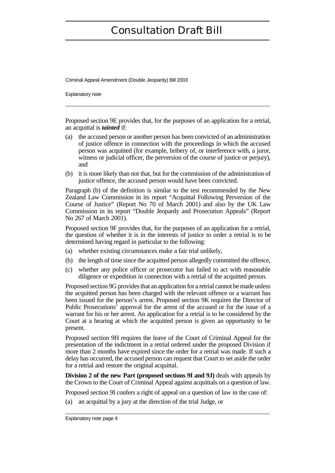Criminal Appeal Amendment (Double Jeopardy) Bill 2003

Explanatory note

Proposed section 9E provides that, for the purposes of an application for a retrial, an acquittal is *tainted* if:

- (a) the accused person or another person has been convicted of an administration of justice offence in connection with the proceedings in which the accused person was acquitted (for example, bribery of, or interference with, a juror, witness or judicial officer, the perversion of the course of justice or perjury), and
- (b) it is more likely than not that, but for the commission of the administration of justice offence, the accused person would have been convicted.

Paragraph (b) of the definition is similar to the test recommended by the New Zealand Law Commission in its report "Acquittal Following Perversion of the Course of Justice" (Report No 70 of March 2001) and also by the UK Law Commission in its report "Double Jeopardy and Prosecution Appeals" (Report No 267 of March 2001).

Proposed section 9F provides that, for the purposes of an application for a retrial, the question of whether it is in the interests of justice to order a retrial is to be determined having regard in particular to the following:

- (a) whether existing circumstances make a fair trial unlikely,
- (b) the length of time since the acquitted person allegedly committed the offence,
- (c) whether any police officer or prosecutor has failed to act with reasonable diligence or expedition in connection with a retrial of the acquitted person.

Proposed section 9G provides that an application for a retrial cannot be made unless the acquitted person has been charged with the relevant offence or a warrant has been issued for the person's arrest. Proposed section 9K requires the Director of Public Prosecutions' approval for the arrest of the accused or for the issue of a warrant for his or her arrest. An application for a retrial is to be considered by the Court at a hearing at which the acquitted person is given an opportunity to be present.

Proposed section 9H requires the leave of the Court of Criminal Appeal for the presentation of the indictment in a retrial ordered under the proposed Division if more than 2 months have expired since the order for a retrial was made. If such a delay has occurred, the accused person can request that Court to set aside the order for a retrial and restore the original acquittal.

**Division 2 of the new Part (proposed sections 9I and 9J)** deals with appeals by the Crown to the Court of Criminal Appeal against acquittals on a question of law.

Proposed section 9I confers a right of appeal on a question of law in the case of:

(a) an acquittal by a jury at the direction of the trial Judge, or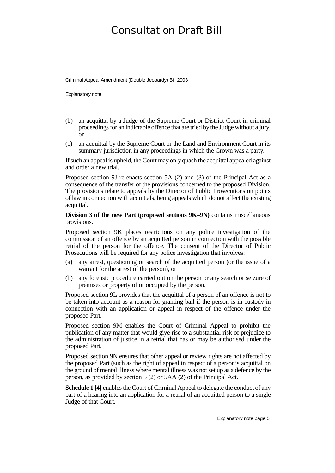Criminal Appeal Amendment (Double Jeopardy) Bill 2003

Explanatory note

- (b) an acquittal by a Judge of the Supreme Court or District Court in criminal proceedings for an indictable offence that are tried by the Judge without a jury, or
- (c) an acquittal by the Supreme Court or the Land and Environment Court in its summary jurisdiction in any proceedings in which the Crown was a party.

If such an appeal is upheld, the Court may only quash the acquittal appealed against and order a new trial.

Proposed section 9J re-enacts section 5A (2) and (3) of the Principal Act as a consequence of the transfer of the provisions concerned to the proposed Division. The provisions relate to appeals by the Director of Public Prosecutions on points of law in connection with acquittals, being appeals which do not affect the existing acquittal.

**Division 3 of the new Part (proposed sections 9K–9N)** contains miscellaneous provisions.

Proposed section 9K places restrictions on any police investigation of the commission of an offence by an acquitted person in connection with the possible retrial of the person for the offence. The consent of the Director of Public Prosecutions will be required for any police investigation that involves:

- (a) any arrest, questioning or search of the acquitted person (or the issue of a warrant for the arrest of the person), or
- (b) any forensic procedure carried out on the person or any search or seizure of premises or property of or occupied by the person.

Proposed section 9L provides that the acquittal of a person of an offence is not to be taken into account as a reason for granting bail if the person is in custody in connection with an application or appeal in respect of the offence under the proposed Part.

Proposed section 9M enables the Court of Criminal Appeal to prohibit the publication of any matter that would give rise to a substantial risk of prejudice to the administration of justice in a retrial that has or may be authorised under the proposed Part.

Proposed section 9N ensures that other appeal or review rights are not affected by the proposed Part (such as the right of appeal in respect of a person's acquittal on the ground of mental illness where mental illness was not set up as a defence by the person, as provided by section 5 (2) or 5AA (2) of the Principal Act.

**Schedule 1 [4]** enables the Court of Criminal Appeal to delegate the conduct of any part of a hearing into an application for a retrial of an acquitted person to a single Judge of that Court.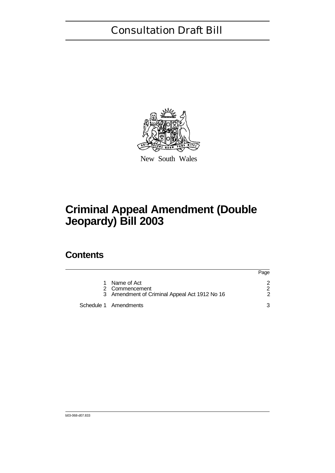

New South Wales

# **Criminal Appeal Amendment (Double Jeopardy) Bill 2003**

### **Contents**

|    |                                               | Page |
|----|-----------------------------------------------|------|
| 1. | Name of Act                                   |      |
|    | 2 Commencement                                |      |
|    | 3 Amendment of Criminal Appeal Act 1912 No 16 | 2    |
|    | Schedule 1 Amendments                         |      |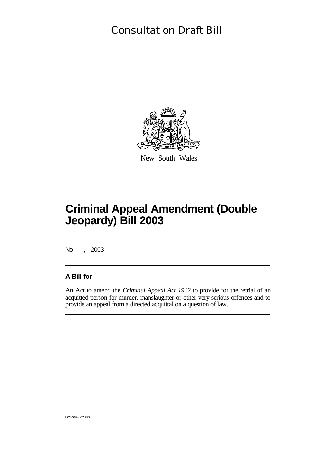

New South Wales

# **Criminal Appeal Amendment (Double Jeopardy) Bill 2003**

No , 2003

### **A Bill for**

An Act to amend the *Criminal Appeal Act 1912* to provide for the retrial of an acquitted person for murder, manslaughter or other very serious offences and to provide an appeal from a directed acquittal on a question of law.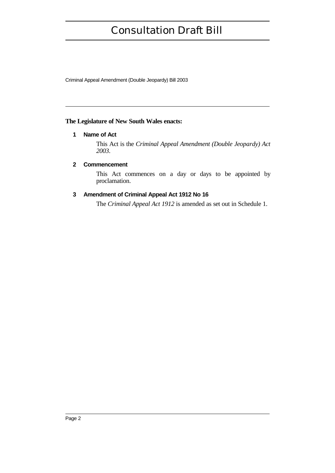Criminal Appeal Amendment (Double Jeopardy) Bill 2003

### **The Legislature of New South Wales enacts:**

### **1 Name of Act**

This Act is the *Criminal Appeal Amendment (Double Jeopardy) Act 2003*.

### **2 Commencement**

This Act commences on a day or days to be appointed by proclamation.

### **3 Amendment of Criminal Appeal Act 1912 No 16**

The *Criminal Appeal Act 1912* is amended as set out in Schedule 1.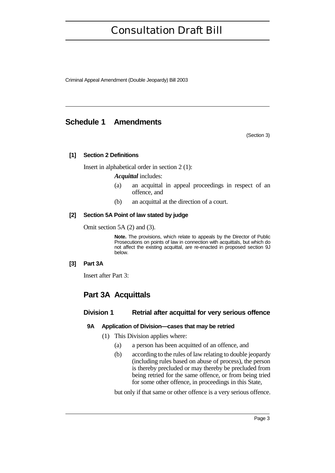Criminal Appeal Amendment (Double Jeopardy) Bill 2003

### **Schedule 1 Amendments**

(Section 3)

### **[1] Section 2 Definitions**

Insert in alphabetical order in section 2 (1):

*Acquittal* includes:

- (a) an acquittal in appeal proceedings in respect of an offence, and
- (b) an acquittal at the direction of a court.

### **[2] Section 5A Point of law stated by judge**

Omit section 5A (2) and (3).

**Note.** The provisions, which relate to appeals by the Director of Public Prosecutions on points of law in connection with acquittals, but which do not affect the existing acquittal, are re-enacted in proposed section 9J below.

### **[3] Part 3A**

Insert after Part 3:

### **Part 3A Acquittals**

### **Division 1 Retrial after acquittal for very serious offence**

### **9A Application of Division—cases that may be retried**

- (1) This Division applies where:
	- (a) a person has been acquitted of an offence, and
	- (b) according to the rules of law relating to double jeopardy (including rules based on abuse of process), the person is thereby precluded or may thereby be precluded from being retried for the same offence, or from being tried for some other offence, in proceedings in this State,

but only if that same or other offence is a very serious offence.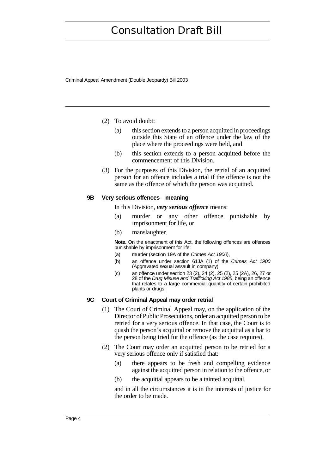Criminal Appeal Amendment (Double Jeopardy) Bill 2003

- (2) To avoid doubt:
	- (a) this section extends to a person acquitted in proceedings outside this State of an offence under the law of the place where the proceedings were held, and
	- (b) this section extends to a person acquitted before the commencement of this Division.
- (3) For the purposes of this Division, the retrial of an acquitted person for an offence includes a trial if the offence is not the same as the offence of which the person was acquitted.

#### **9B Very serious offences—meaning**

In this Division, *very serious offence* means:

- (a) murder or any other offence punishable by imprisonment for life, or
- (b) manslaughter.

**Note.** On the enactment of this Act, the following offences are offences punishable by imprisonment for life:

- (a) murder (section 19A of the Crimes Act 1900),
- (b) an offence under section 61JA (1) of the Crimes Act 1900 (Aggravated sexual assault in company),
- (c) an offence under section 23 (2), 24 (2), 25 (2), 25 (2A), 26, 27 or 28 of the Drug Misuse and Trafficking Act 1985, being an offence that relates to a large commercial quantity of certain prohibited plants or drugs.

### **9C Court of Criminal Appeal may order retrial**

- (1) The Court of Criminal Appeal may, on the application of the Director of Public Prosecutions, order an acquitted person to be retried for a very serious offence. In that case, the Court is to quash the person's acquittal or remove the acquittal as a bar to the person being tried for the offence (as the case requires).
- (2) The Court may order an acquitted person to be retried for a very serious offence only if satisfied that:
	- (a) there appears to be fresh and compelling evidence against the acquitted person in relation to the offence, or
	- (b) the acquittal appears to be a tainted acquittal,

and in all the circumstances it is in the interests of justice for the order to be made.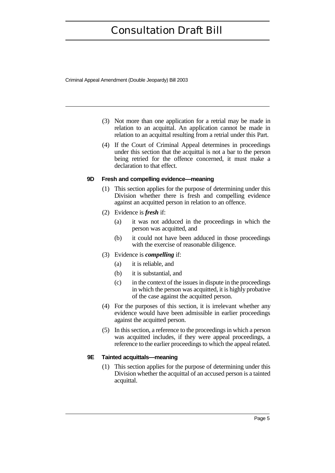Criminal Appeal Amendment (Double Jeopardy) Bill 2003

- (3) Not more than one application for a retrial may be made in relation to an acquittal. An application cannot be made in relation to an acquittal resulting from a retrial under this Part.
- (4) If the Court of Criminal Appeal determines in proceedings under this section that the acquittal is not a bar to the person being retried for the offence concerned, it must make a declaration to that effect.

#### **9D Fresh and compelling evidence—meaning**

- (1) This section applies for the purpose of determining under this Division whether there is fresh and compelling evidence against an acquitted person in relation to an offence.
- (2) Evidence is *fresh* if:
	- (a) it was not adduced in the proceedings in which the person was acquitted, and
	- (b) it could not have been adduced in those proceedings with the exercise of reasonable diligence.
- (3) Evidence is *compelling* if:
	- (a) it is reliable, and
	- (b) it is substantial, and
	- (c) in the context of the issues in dispute in the proceedings in which the person was acquitted, it is highly probative of the case against the acquitted person.
- (4) For the purposes of this section, it is irrelevant whether any evidence would have been admissible in earlier proceedings against the acquitted person.
- (5) In this section, a reference to the proceedings in which a person was acquitted includes, if they were appeal proceedings, a reference to the earlier proceedings to which the appeal related.

### **9E Tainted acquittals—meaning**

(1) This section applies for the purpose of determining under this Division whether the acquittal of an accused person is a tainted acquittal.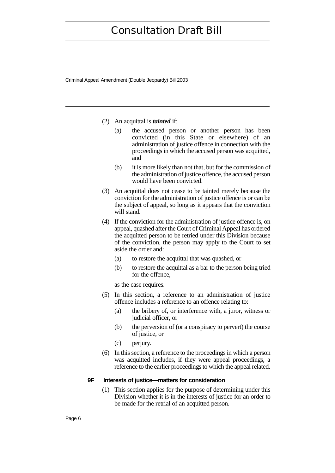Criminal Appeal Amendment (Double Jeopardy) Bill 2003

- (2) An acquittal is *tainted* if:
	- (a) the accused person or another person has been convicted (in this State or elsewhere) of an administration of justice offence in connection with the proceedings in which the accused person was acquitted, and
	- (b) it is more likely than not that, but for the commission of the administration of justice offence, the accused person would have been convicted.
- (3) An acquittal does not cease to be tainted merely because the conviction for the administration of justice offence is or can be the subject of appeal, so long as it appears that the conviction will stand.
- (4) If the conviction for the administration of justice offence is, on appeal, quashed after the Court of Criminal Appeal has ordered the acquitted person to be retried under this Division because of the conviction, the person may apply to the Court to set aside the order and:
	- (a) to restore the acquittal that was quashed, or
	- (b) to restore the acquittal as a bar to the person being tried for the offence,
	- as the case requires.
- (5) In this section, a reference to an administration of justice offence includes a reference to an offence relating to:
	- (a) the bribery of, or interference with, a juror, witness or judicial officer, or
	- (b) the perversion of (or a conspiracy to pervert) the course of justice, or
	- (c) perjury.
- (6) In this section, a reference to the proceedings in which a person was acquitted includes, if they were appeal proceedings, a reference to the earlier proceedings to which the appeal related.

#### **9F Interests of justice—matters for consideration**

(1) This section applies for the purpose of determining under this Division whether it is in the interests of justice for an order to be made for the retrial of an acquitted person.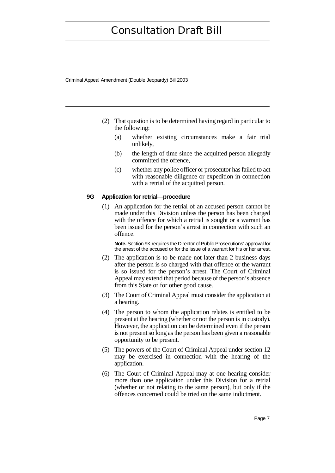Criminal Appeal Amendment (Double Jeopardy) Bill 2003

- (2) That question is to be determined having regard in particular to the following:
	- (a) whether existing circumstances make a fair trial unlikely,
	- (b) the length of time since the acquitted person allegedly committed the offence,
	- (c) whether any police officer or prosecutor has failed to act with reasonable diligence or expedition in connection with a retrial of the acquitted person.

### **9G Application for retrial—procedure**

(1) An application for the retrial of an accused person cannot be made under this Division unless the person has been charged with the offence for which a retrial is sought or a warrant has been issued for the person's arrest in connection with such an offence.

**Note.** Section 9K requires the Director of Public Prosecutions' approval for the arrest of the accused or for the issue of a warrant for his or her arrest.

- (2) The application is to be made not later than 2 business days after the person is so charged with that offence or the warrant is so issued for the person's arrest. The Court of Criminal Appeal may extend that period because of the person's absence from this State or for other good cause.
- (3) The Court of Criminal Appeal must consider the application at a hearing.
- (4) The person to whom the application relates is entitled to be present at the hearing (whether or not the person is in custody). However, the application can be determined even if the person is not present so long as the person has been given a reasonable opportunity to be present.
- (5) The powers of the Court of Criminal Appeal under section 12 may be exercised in connection with the hearing of the application.
- (6) The Court of Criminal Appeal may at one hearing consider more than one application under this Division for a retrial (whether or not relating to the same person), but only if the offences concerned could be tried on the same indictment.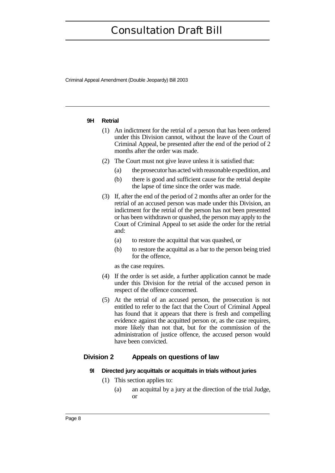Criminal Appeal Amendment (Double Jeopardy) Bill 2003

#### **9H Retrial**

- (1) An indictment for the retrial of a person that has been ordered under this Division cannot, without the leave of the Court of Criminal Appeal, be presented after the end of the period of 2 months after the order was made.
- (2) The Court must not give leave unless it is satisfied that:
	- (a) the prosecutor has acted with reasonable expedition, and
	- (b) there is good and sufficient cause for the retrial despite the lapse of time since the order was made.
- (3) If, after the end of the period of 2 months after an order for the retrial of an accused person was made under this Division, an indictment for the retrial of the person has not been presented or has been withdrawn or quashed, the person may apply to the Court of Criminal Appeal to set aside the order for the retrial and:
	- (a) to restore the acquittal that was quashed, or
	- (b) to restore the acquittal as a bar to the person being tried for the offence,

as the case requires.

- (4) If the order is set aside, a further application cannot be made under this Division for the retrial of the accused person in respect of the offence concerned.
- (5) At the retrial of an accused person, the prosecution is not entitled to refer to the fact that the Court of Criminal Appeal has found that it appears that there is fresh and compelling evidence against the acquitted person or, as the case requires, more likely than not that, but for the commission of the administration of justice offence, the accused person would have been convicted.

### **Division 2 Appeals on questions of law**

#### **9I Directed jury acquittals or acquittals in trials without juries**

- (1) This section applies to:
	- (a) an acquittal by a jury at the direction of the trial Judge, or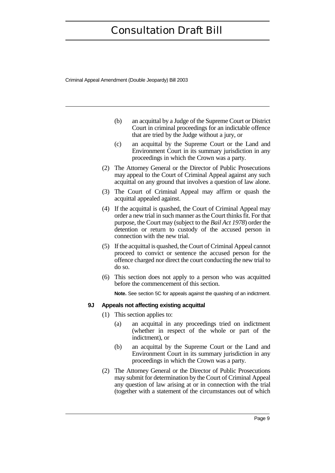Criminal Appeal Amendment (Double Jeopardy) Bill 2003

- (b) an acquittal by a Judge of the Supreme Court or District Court in criminal proceedings for an indictable offence that are tried by the Judge without a jury, or
- (c) an acquittal by the Supreme Court or the Land and Environment Court in its summary jurisdiction in any proceedings in which the Crown was a party.
- (2) The Attorney General or the Director of Public Prosecutions may appeal to the Court of Criminal Appeal against any such acquittal on any ground that involves a question of law alone.
- (3) The Court of Criminal Appeal may affirm or quash the acquittal appealed against.
- (4) If the acquittal is quashed, the Court of Criminal Appeal may order a new trial in such manner as the Court thinks fit. For that purpose, the Court may (subject to the *Bail Act 1978*) order the detention or return to custody of the accused person in connection with the new trial.
- (5) If the acquittal is quashed, the Court of Criminal Appeal cannot proceed to convict or sentence the accused person for the offence charged nor direct the court conducting the new trial to do so.
- (6) This section does not apply to a person who was acquitted before the commencement of this section.

**Note.** See section 5C for appeals against the quashing of an indictment.

### **9J Appeals not affecting existing acquittal**

- (1) This section applies to:
	- (a) an acquittal in any proceedings tried on indictment (whether in respect of the whole or part of the indictment), or
	- (b) an acquittal by the Supreme Court or the Land and Environment Court in its summary jurisdiction in any proceedings in which the Crown was a party.
- (2) The Attorney General or the Director of Public Prosecutions may submit for determination by the Court of Criminal Appeal any question of law arising at or in connection with the trial (together with a statement of the circumstances out of which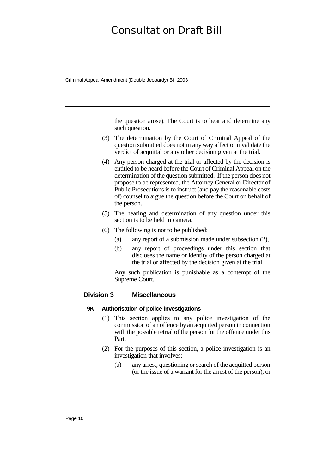Criminal Appeal Amendment (Double Jeopardy) Bill 2003

the question arose). The Court is to hear and determine any such question.

- (3) The determination by the Court of Criminal Appeal of the question submitted does not in any way affect or invalidate the verdict of acquittal or any other decision given at the trial.
- (4) Any person charged at the trial or affected by the decision is entitled to be heard before the Court of Criminal Appeal on the determination of the question submitted. If the person does not propose to be represented, the Attorney General or Director of Public Prosecutions is to instruct (and pay the reasonable costs of) counsel to argue the question before the Court on behalf of the person.
- (5) The hearing and determination of any question under this section is to be held in camera.
- (6) The following is not to be published:
	- (a) any report of a submission made under subsection (2),
	- (b) any report of proceedings under this section that discloses the name or identity of the person charged at the trial or affected by the decision given at the trial.

Any such publication is punishable as a contempt of the Supreme Court.

### **Division 3 Miscellaneous**

### **9K Authorisation of police investigations**

- (1) This section applies to any police investigation of the commission of an offence by an acquitted person in connection with the possible retrial of the person for the offence under this Part.
- (2) For the purposes of this section, a police investigation is an investigation that involves:
	- (a) any arrest, questioning orsearch of the acquitted person (or the issue of a warrant for the arrest of the person), or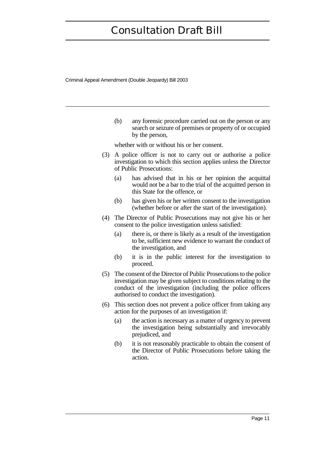Criminal Appeal Amendment (Double Jeopardy) Bill 2003

(b) any forensic procedure carried out on the person or any search or seizure of premises or property of or occupied by the person,

whether with or without his or her consent.

- (3) A police officer is not to carry out or authorise a police investigation to which this section applies unless the Director of Public Prosecutions:
	- (a) has advised that in his or her opinion the acquittal would not be a bar to the trial of the acquitted person in this State for the offence, or
	- (b) has given his or her written consent to the investigation (whether before or after the start of the investigation).
- (4) The Director of Public Prosecutions may not give his or her consent to the police investigation unless satisfied:
	- (a) there is, or there is likely as a result of the investigation to be, sufficient new evidence to warrant the conduct of the investigation, and
	- (b) it is in the public interest for the investigation to proceed.
- (5) The consent of the Director of Public Prosecutions to the police investigation may be given subject to conditions relating to the conduct of the investigation (including the police officers authorised to conduct the investigation).
- (6) This section does not prevent a police officer from taking any action for the purposes of an investigation if:
	- (a) the action is necessary as a matter of urgency to prevent the investigation being substantially and irrevocably prejudiced, and
	- (b) it is not reasonably practicable to obtain the consent of the Director of Public Prosecutions before taking the action.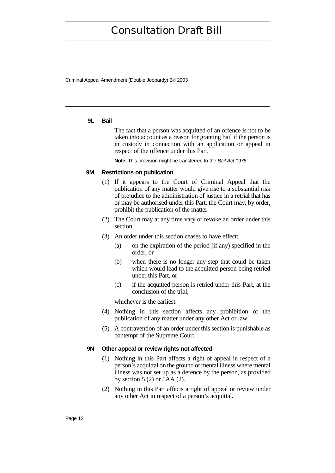Criminal Appeal Amendment (Double Jeopardy) Bill 2003

#### **9L Bail**

The fact that a person was acquitted of an offence is not to be taken into account as a reason for granting bail if the person is in custody in connection with an application or appeal in respect of the offence under this Part.

**Note.** This provision might be transferred to the Bail Act 1978.

#### **9M Restrictions on publication**

- (1) If it appears to the Court of Criminal Appeal that the publication of any matter would give rise to a substantial risk of prejudice to the administration of justice in a retrial that has or may be authorised under this Part, the Court may, by order, prohibit the publication of the matter.
- (2) The Court may at any time vary or revoke an order under this section.
- (3) An order under this section ceases to have effect:
	- (a) on the expiration of the period (if any) specified in the order, or
	- (b) when there is no longer any step that could be taken which would lead to the acquitted person being retried under this Part, or
	- (c) if the acquitted person is retried under this Part, at the conclusion of the trial,

whichever is the earliest.

- (4) Nothing in this section affects any prohibition of the publication of any matter under any other Act or law.
- (5) A contravention of an order under this section is punishable as contempt of the Supreme Court.

### **9N Other appeal or review rights not affected**

- (1) Nothing in this Part affects a right of appeal in respect of a person's acquittal on the ground of mental illness where mental illness was not set up as a defence by the person, as provided by section  $5(2)$  or  $5AA(2)$ .
- (2) Nothing in this Part affects a right of appeal or review under any other Act in respect of a person's acquittal.